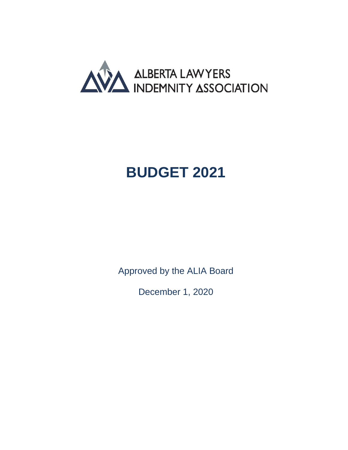

## <span id="page-0-0"></span>**BUDGET 2021**

<span id="page-0-1"></span>Approved by the ALIA Board

December 1, 2020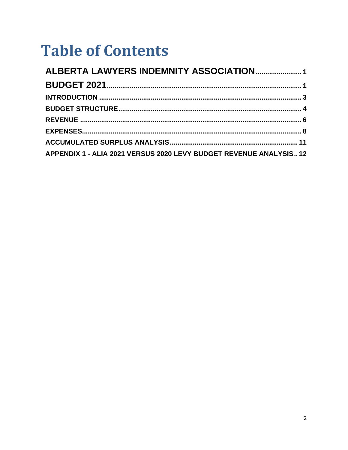# **Table of Contents**

| APPENDIX 1 - ALIA 2021 VERSUS 2020 LEVY BUDGET REVENUE ANALYSIS12 |  |
|-------------------------------------------------------------------|--|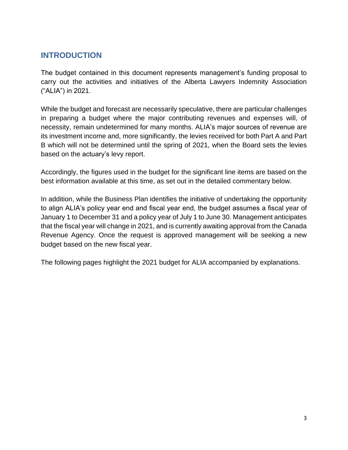## <span id="page-2-0"></span>**INTRODUCTION**

The budget contained in this document represents management's funding proposal to carry out the activities and initiatives of the Alberta Lawyers Indemnity Association ("ALIA") in 2021.

While the budget and forecast are necessarily speculative, there are particular challenges in preparing a budget where the major contributing revenues and expenses will, of necessity, remain undetermined for many months. ALIA's major sources of revenue are its investment income and, more significantly, the levies received for both Part A and Part B which will not be determined until the spring of 2021, when the Board sets the levies based on the actuary's levy report.

Accordingly, the figures used in the budget for the significant line items are based on the best information available at this time, as set out in the detailed commentary below.

In addition, while the Business Plan identifies the initiative of undertaking the opportunity to align ALIA's policy year end and fiscal year end, the budget assumes a fiscal year of January 1 to December 31 and a policy year of July 1 to June 30. Management anticipates that the fiscal year will change in 2021, and is currently awaiting approval from the Canada Revenue Agency. Once the request is approved management will be seeking a new budget based on the new fiscal year.

The following pages highlight the 2021 budget for ALIA accompanied by explanations.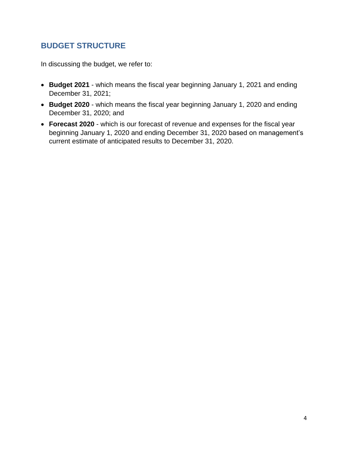## <span id="page-3-0"></span>**BUDGET STRUCTURE**

In discussing the budget, we refer to:

- **Budget 2021** which means the fiscal year beginning January 1, 2021 and ending December 31, 2021;
- **Budget 2020**  which means the fiscal year beginning January 1, 2020 and ending December 31, 2020; and
- **Forecast 2020** which is our forecast of revenue and expenses for the fiscal year beginning January 1, 2020 and ending December 31, 2020 based on management's current estimate of anticipated results to December 31, 2020.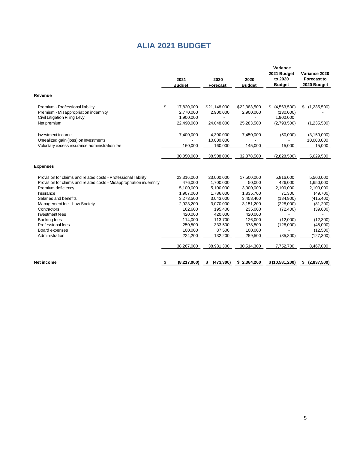## **ALIA 2021 BUDGET**

| 2021<br><b>Budget</b> | 2020<br><b>Forecast</b> | 2020<br><b>Budget</b> | Variance<br>2021 Budget<br>to 2020<br><b>Budget</b> | Variance 2020<br><b>Forecast to</b><br>2020 Budget |  |  |
|-----------------------|-------------------------|-----------------------|-----------------------------------------------------|----------------------------------------------------|--|--|
|                       |                         |                       |                                                     |                                                    |  |  |
| 17,820,000            | \$21,148,000            | \$22,383,500          | \$<br>(4,563,500)                                   | (1,235,500)<br>\$                                  |  |  |
| 2,770,000             | 2,900,000               | 2,900,000             | (130,000)                                           |                                                    |  |  |
| 1,900,000             |                         |                       | 1,900,000                                           |                                                    |  |  |
| 22,490,000            | 24,048,000              | 25,283,500            | (2,793,500)                                         | (1,235,500)                                        |  |  |
| 7,400,000             | 4,300,000               | 7,450,000             | (50,000)                                            | (3, 150, 000)                                      |  |  |
|                       | 10,000,000              |                       |                                                     | 10,000,000                                         |  |  |
| 160,000               | 160,000                 | 145,000               | 15,000                                              | 15,000                                             |  |  |
| 30,050,000            | 38,508,000              | 32,878,500            | (2,828,500)                                         | 5,629,500                                          |  |  |
|                       |                         |                       |                                                     |                                                    |  |  |
| 23,316,000            | 23,000,000              | 17,500,000            | 5,816,000                                           | 5,500,000                                          |  |  |
| 476,000               | 1,700,000               | 50,000                | 426,000                                             | 1,650,000                                          |  |  |
| 5,100,000             | 5,100,000               | 3,000,000             | 2,100,000                                           | 2,100,000                                          |  |  |
| 1,907,000             | 1,786,000               | 1,835,700             | 71,300                                              | (49,700)                                           |  |  |
| 3,273,500             | 3,043,000               | 3,458,400             | (184,900)                                           | (415, 400)                                         |  |  |
| 2,923,200             | 3,070,000               | 3,151,200             | (228,000)                                           | (81,200)                                           |  |  |
| 162.600               | 195,400                 | 235,000               | (72, 400)                                           | (39,600)                                           |  |  |
| 420,000               | 420,000                 | 420,000               |                                                     |                                                    |  |  |
| 114,000               | 113,700                 | 126,000               | (12,000)                                            | (12,300)                                           |  |  |
| 250,500               | 333,500                 | 378,500               | (128,000)                                           | (45,000)                                           |  |  |
| 100,000               | 87,500                  | 100,000               |                                                     | (12,500)                                           |  |  |
| 224,200               | 132,200                 | 259,500               | (35, 300)                                           | (127, 300)                                         |  |  |
| 38,267,000            | 38,981,300              | 30,514,300            | 7,752,700                                           | 8,467,000                                          |  |  |
|                       |                         |                       |                                                     | (2,837,500)<br>\$                                  |  |  |
|                       | (8,217,000)             | (473, 300)<br>\$      | \$2,364,200                                         | \$(10,581,200)                                     |  |  |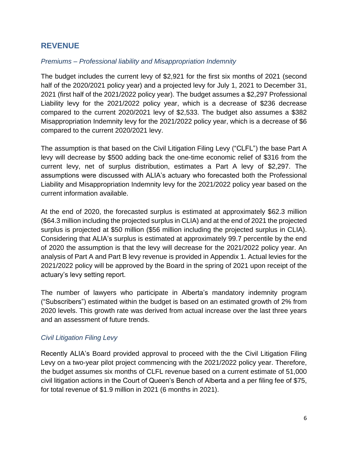## <span id="page-5-0"></span>**REVENUE**

#### *Premiums – Professional liability and Misappropriation Indemnity*

The budget includes the current levy of \$2,921 for the first six months of 2021 (second half of the 2020/2021 policy year) and a projected levy for July 1, 2021 to December 31, 2021 (first half of the 2021/2022 policy year). The budget assumes a \$2,297 Professional Liability levy for the 2021/2022 policy year, which is a decrease of \$236 decrease compared to the current 2020/2021 levy of \$2,533. The budget also assumes a \$382 Misappropriation Indemnity levy for the 2021/2022 policy year, which is a decrease of \$6 compared to the current 2020/2021 levy.

The assumption is that based on the Civil Litigation Filing Levy ("CLFL") the base Part A levy will decrease by \$500 adding back the one-time economic relief of \$316 from the current levy, net of surplus distribution, estimates a Part A levy of \$2,297. The assumptions were discussed with ALIA's actuary who forecasted both the Professional Liability and Misappropriation Indemnity levy for the 2021/2022 policy year based on the current information available.

At the end of 2020, the forecasted surplus is estimated at approximately \$62.3 million (\$64.3 million including the projected surplus in CLIA) and at the end of 2021 the projected surplus is projected at \$50 million (\$56 million including the projected surplus in CLIA). Considering that ALIA's surplus is estimated at approximately 99.7 percentile by the end of 2020 the assumption is that the levy will decrease for the 2021/2022 policy year. An analysis of Part A and Part B levy revenue is provided in Appendix 1. Actual levies for the 2021/2022 policy will be approved by the Board in the spring of 2021 upon receipt of the actuary's levy setting report.

The number of lawyers who participate in Alberta's mandatory indemnity program ("Subscribers") estimated within the budget is based on an estimated growth of 2% from 2020 levels. This growth rate was derived from actual increase over the last three years and an assessment of future trends.

#### *Civil Litigation Filing Levy*

Recently ALIA's Board provided approval to proceed with the the Civil Litigation Filing Levy on a two-year pilot project commencing with the 2021/2022 policy year. Therefore, the budget assumes six months of CLFL revenue based on a current estimate of 51,000 civil litigation actions in the Court of Queen's Bench of Alberta and a per filing fee of \$75, for total revenue of \$1.9 million in 2021 (6 months in 2021).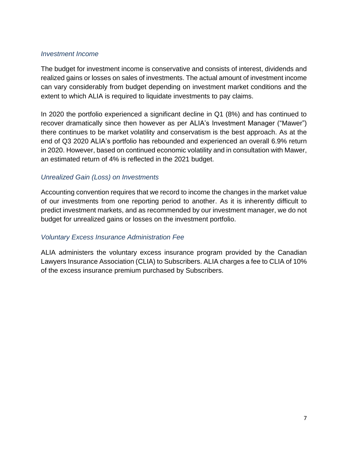#### *Investment Income*

The budget for investment income is conservative and consists of interest, dividends and realized gains or losses on sales of investments. The actual amount of investment income can vary considerably from budget depending on investment market conditions and the extent to which ALIA is required to liquidate investments to pay claims.

In 2020 the portfolio experienced a significant decline in Q1 (8%) and has continued to recover dramatically since then however as per ALIA's Investment Manager ("Mawer") there continues to be market volatility and conservatism is the best approach. As at the end of Q3 2020 ALIA's portfolio has rebounded and experienced an overall 6.9% return in 2020. However, based on continued economic volatility and in consultation with Mawer, an estimated return of 4% is reflected in the 2021 budget.

#### *Unrealized Gain (Loss) on Investments*

Accounting convention requires that we record to income the changes in the market value of our investments from one reporting period to another. As it is inherently difficult to predict investment markets, and as recommended by our investment manager, we do not budget for unrealized gains or losses on the investment portfolio.

#### *Voluntary Excess Insurance Administration Fee*

ALIA administers the voluntary excess insurance program provided by the Canadian Lawyers Insurance Association (CLIA) to Subscribers. ALIA charges a fee to CLIA of 10% of the excess insurance premium purchased by Subscribers.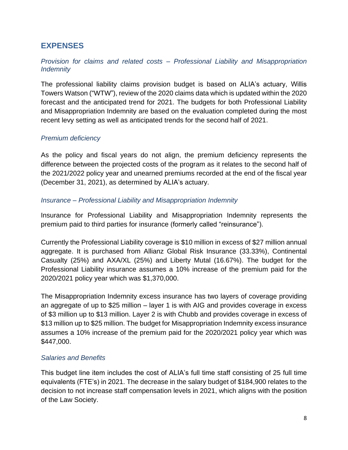## <span id="page-7-0"></span>**EXPENSES**

#### *Provision for claims and related costs – Professional Liability and Misappropriation Indemnity*

The professional liability claims provision budget is based on ALIA's actuary, Willis Towers Watson ("WTW"), review of the 2020 claims data which is updated within the 2020 forecast and the anticipated trend for 2021. The budgets for both Professional Liability and Misappropriation Indemnity are based on the evaluation completed during the most recent levy setting as well as anticipated trends for the second half of 2021.

#### *Premium deficiency*

As the policy and fiscal years do not align, the premium deficiency represents the difference between the projected costs of the program as it relates to the second half of the 2021/2022 policy year and unearned premiums recorded at the end of the fiscal year (December 31, 2021), as determined by ALIA's actuary.

#### *Insurance – Professional Liability and Misappropriation Indemnity*

Insurance for Professional Liability and Misappropriation Indemnity represents the premium paid to third parties for insurance (formerly called "reinsurance").

Currently the Professional Liability coverage is \$10 million in excess of \$27 million annual aggregate. It is purchased from Allianz Global Risk Insurance (33.33%), Continental Casualty (25%) and AXA/XL (25%) and Liberty Mutal (16.67%). The budget for the Professional Liability insurance assumes a 10% increase of the premium paid for the 2020/2021 policy year which was \$1,370,000.

The Misappropriation Indemnity excess insurance has two layers of coverage providing an aggregate of up to \$25 million – layer 1 is with AIG and provides coverage in excess of \$3 million up to \$13 million. Layer 2 is with Chubb and provides coverage in excess of \$13 million up to \$25 million. The budget for Misappropriation Indemnity excess insurance assumes a 10% increase of the premium paid for the 2020/2021 policy year which was \$447,000.

#### *Salaries and Benefits*

This budget line item includes the cost of ALIA's full time staff consisting of 25 full time equivalents (FTE's) in 2021. The decrease in the salary budget of \$184,900 relates to the decision to not increase staff compensation levels in 2021, which aligns with the position of the Law Society.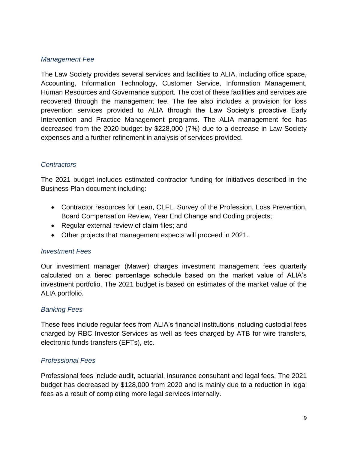#### *Management Fee*

The Law Society provides several services and facilities to ALIA, including office space, Accounting, Information Technology, Customer Service, Information Management, Human Resources and Governance support. The cost of these facilities and services are recovered through the management fee. The fee also includes a provision for loss prevention services provided to ALIA through the Law Society's proactive Early Intervention and Practice Management programs. The ALIA management fee has decreased from the 2020 budget by \$228,000 (7%) due to a decrease in Law Society expenses and a further refinement in analysis of services provided.

#### *Contractors*

The 2021 budget includes estimated contractor funding for initiatives described in the Business Plan document including:

- Contractor resources for Lean, CLFL, Survey of the Profession, Loss Prevention, Board Compensation Review, Year End Change and Coding projects;
- Regular external review of claim files; and
- Other projects that management expects will proceed in 2021.

#### *Investment Fees*

Our investment manager (Mawer) charges investment management fees quarterly calculated on a tiered percentage schedule based on the market value of ALIA's investment portfolio. The 2021 budget is based on estimates of the market value of the ALIA portfolio.

#### *Banking Fees*

These fees include regular fees from ALIA's financial institutions including custodial fees charged by RBC Investor Services as well as fees charged by ATB for wire transfers, electronic funds transfers (EFTs), etc.

#### *Professional Fees*

Professional fees include audit, actuarial, insurance consultant and legal fees. The 2021 budget has decreased by \$128,000 from 2020 and is mainly due to a reduction in legal fees as a result of completing more legal services internally.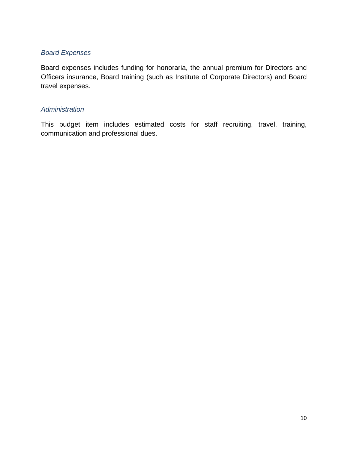#### *Board Expenses*

Board expenses includes funding for honoraria, the annual premium for Directors and Officers insurance, Board training (such as Institute of Corporate Directors) and Board travel expenses.

#### *Administration*

This budget item includes estimated costs for staff recruiting, travel, training, communication and professional dues.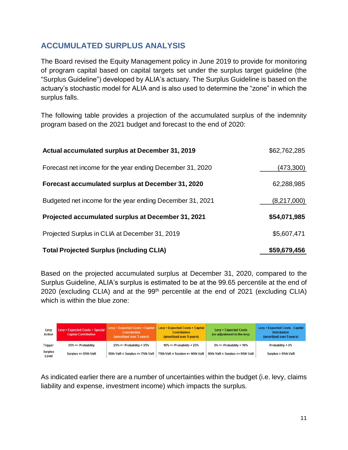## <span id="page-10-0"></span>**ACCUMULATED SURPLUS ANALYSIS**

The Board revised the Equity Management policy in June 2019 to provide for monitoring of program capital based on capital targets set under the surplus target guideline (the "Surplus Guideline") developed by ALIA's actuary. The Surplus Guideline is based on the actuary's stochastic model for ALIA and is also used to determine the "zone" in which the surplus falls.

The following table provides a projection of the accumulated surplus of the indemnity program based on the 2021 budget and forecast to the end of 2020:

| Actual accumulated surplus at December 31, 2019           | \$62,762,285 |
|-----------------------------------------------------------|--------------|
| Forecast net income for the year ending December 31, 2020 | (473,300)    |
| Forecast accumulated surplus at December 31, 2020         | 62,288,985   |
| Budgeted net income for the year ending December 31, 2021 | (8,217,000)  |
| Projected accumulated surplus at December 31, 2021        | \$54,071,985 |
| Projected Surplus in CLIA at December 31, 2019            | \$5,607,471  |
| <b>Total Projected Surplus (including CLIA)</b>           | \$59,679,456 |

Based on the projected accumulated surplus at December 31, 2020, compared to the Surplus Guideline, ALIA's surplus is estimated to be at the 99.65 percentile at the end of 2020 (excluding CLIA) and at the  $99<sup>th</sup>$  percentile at the end of 2021 (excluding CLIA) which is within the blue zone:

| Levy<br><b>Action</b>   | <b>Levy = Expected Costs + Special</b><br><b>Capital Contribution</b> | <b>Levy = Expected Costs + Capital</b><br><b>Contribution</b><br>(amortized over 3 years) | Levy = Expected Costs + Capital<br><b>Contribution</b><br>(amortized over 5 years) | <b>Levy = Expected Costs</b><br>(no adjustment to the levy) | Levy = Expected Costs - Capital<br><b>Distribution</b><br>(amortized over 5 years) |  |  |
|-------------------------|-----------------------------------------------------------------------|-------------------------------------------------------------------------------------------|------------------------------------------------------------------------------------|-------------------------------------------------------------|------------------------------------------------------------------------------------|--|--|
| Trigger                 | $35\% \leq$ Probability                                               | $25\% \leq$ Probability < 35%                                                             | $10\% \leq$ Probability < 25%                                                      | $5\% \leq$ Probability < 10%                                | Probability < $5\%$                                                                |  |  |
| <b>Surplus</b><br>Level | Surplus <= $65th$ VaR                                                 | 50th VaR < Surplus <= 75th VaR                                                            | 75th VaR < Surplus <= 90th VaR                                                     | 90th VaR < Surplus <= 95th VaR                              | Surplus > 95th VaR                                                                 |  |  |

As indicated earlier there are a number of uncertainties within the budget (i.e. levy, claims liability and expense, investment income) which impacts the surplus.